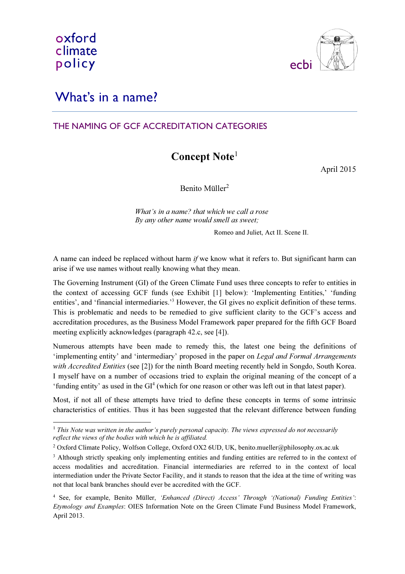

# What's in a name?

## THE NAMING OF GCF ACCREDITATION CATEGORIES

# Concept Note<sup>1</sup>

April 2015

Benito Müller<sup>2</sup>

What's in a name? that which we call a rose By any other name would smell as sweet;

Romeo and Juliet, Act II. Scene II.

A name can indeed be replaced without harm if we know what it refers to. But significant harm can arise if we use names without really knowing what they mean.

The Governing Instrument (GI) of the Green Climate Fund uses three concepts to refer to entities in the context of accessing GCF funds (see Exhibit [1] below): 'Implementing Entities,' 'funding entities', and 'financial intermediaries.'<sup>3</sup> However, the GI gives no explicit definition of these terms. This is problematic and needs to be remedied to give sufficient clarity to the GCF's access and accreditation procedures, as the Business Model Framework paper prepared for the fifth GCF Board meeting explicitly acknowledges (paragraph 42.c, see [4]).

Numerous attempts have been made to remedy this, the latest one being the definitions of 'implementing entity' and 'intermediary' proposed in the paper on Legal and Formal Arrangements with Accredited Entities (see [2]) for the ninth Board meeting recently held in Songdo, South Korea. I myself have on a number of occasions tried to explain the original meaning of the concept of a 'funding entity' as used in the GI<sup>4</sup> (which for one reason or other was left out in that latest paper).

Most, if not all of these attempts have tried to define these concepts in terms of some intrinsic characteristics of entities. Thus it has been suggested that the relevant difference between funding

 $\overline{a}$  $1$  This Note was written in the author's purely personal capacity. The views expressed do not necessarily reflect the views of the bodies with which he is affiliated.

<sup>&</sup>lt;sup>2</sup> Oxford Climate Policy, Wolfson College, Oxford OX2 6UD, UK, benito.mueller@philosophy.ox.ac.uk

<sup>&</sup>lt;sup>3</sup> Although strictly speaking only implementing entities and funding entities are referred to in the context of access modalities and accreditation. Financial intermediaries are referred to in the context of local intermediation under the Private Sector Facility, and it stands to reason that the idea at the time of writing was not that local bank branches should ever be accredited with the GCF.

<sup>&</sup>lt;sup>4</sup> See, for example, Benito Müller, 'Enhanced (Direct) Access' Through '(National) Funding Entities': Etymology and Examples: OIES Information Note on the Green Climate Fund Business Model Framework, April 2013.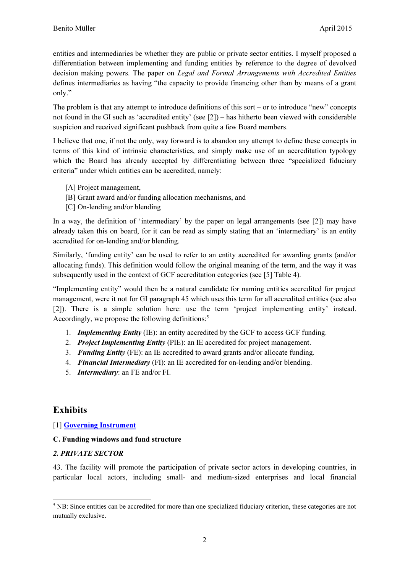entities and intermediaries be whether they are public or private sector entities. I myself proposed a differentiation between implementing and funding entities by reference to the degree of devolved decision making powers. The paper on *Legal and Formal Arrangements with Accredited Entities* defines intermediaries as having "the capacity to provide financing other than by means of a grant only."

The problem is that any attempt to introduce definitions of this sort – or to introduce "new" concepts not found in the GI such as 'accredited entity' (see [2]) – has hitherto been viewed with considerable suspicion and received significant pushback from quite a few Board members.

I believe that one, if not the only, way forward is to abandon any attempt to define these concepts in terms of this kind of intrinsic characteristics, and simply make use of an accreditation typology which the Board has already accepted by differentiating between three "specialized fiduciary criteria" under which entities can be accredited, namely:

- [A] Project management,
- [B] Grant award and/or funding allocation mechanisms, and
- [C] On-lending and/or blending

In a way, the definition of 'intermediary' by the paper on legal arrangements (see [2]) may have already taken this on board, for it can be read as simply stating that an 'intermediary' is an entity accredited for on-lending and/or blending.

Similarly, 'funding entity' can be used to refer to an entity accredited for awarding grants (and/or allocating funds). This definition would follow the original meaning of the term, and the way it was subsequently used in the context of GCF accreditation categories (see [5] Table 4).

"Implementing entity" would then be a natural candidate for naming entities accredited for project management, were it not for GI paragraph 45 which uses this term for all accredited entities (see also [2]). There is a simple solution here: use the term 'project implementing entity' instead. Accordingly, we propose the following definitions:<sup>5</sup>

- 1. **Implementing Entity** (IE): an entity accredited by the GCF to access GCF funding.
- 2. Project Implementing Entity (PIE): an IE accredited for project management.
- 3. Funding Entity (FE): an IE accredited to award grants and/or allocate funding.
- 4. Financial Intermediary (FI): an IE accredited for on-lending and/or blending.
- 5. Intermediary: an FE and/or FI.

## Exhibits

 $\overline{a}$ 

[1] Governing Instrument

#### C. Funding windows and fund structure

#### 2. PRIVATE SECTOR

43. The facility will promote the participation of private sector actors in developing countries, in particular local actors, including small- and medium-sized enterprises and local financial

<sup>&</sup>lt;sup>5</sup> NB: Since entities can be accredited for more than one specialized fiduciary criterion, these categories are not mutually exclusive.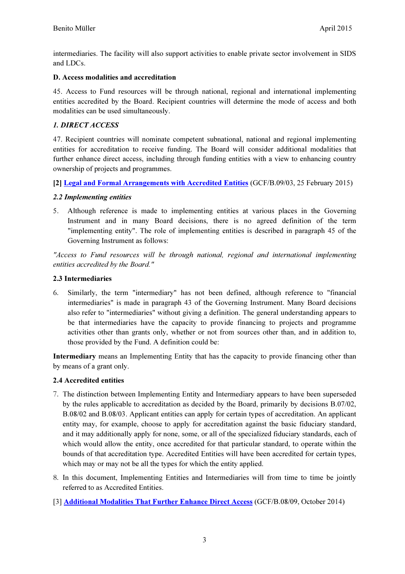intermediaries. The facility will also support activities to enable private sector involvement in SIDS and LDCs.

### D. Access modalities and accreditation

45. Access to Fund resources will be through national, regional and international implementing entities accredited by the Board. Recipient countries will determine the mode of access and both modalities can be used simultaneously.

## 1. DIRECT ACCESS

47. Recipient countries will nominate competent subnational, national and regional implementing entities for accreditation to receive funding. The Board will consider additional modalities that further enhance direct access, including through funding entities with a view to enhancing country ownership of projects and programmes.

[2] Legal and Formal Arrangements with Accredited Entities (GCF/B.09/03, 25 February 2015)

#### 2.2 Implementing entities

5. Although reference is made to implementing entities at various places in the Governing Instrument and in many Board decisions, there is no agreed definition of the term "implementing entity". The role of implementing entities is described in paragraph 45 of the Governing Instrument as follows:

"Access to Fund resources will be through national, regional and international implementing entities accredited by the Board."

### 2.3 Intermediaries

6. Similarly, the term "intermediary" has not been defined, although reference to "financial intermediaries" is made in paragraph 43 of the Governing Instrument. Many Board decisions also refer to "intermediaries" without giving a definition. The general understanding appears to be that intermediaries have the capacity to provide financing to projects and programme activities other than grants only, whether or not from sources other than, and in addition to, those provided by the Fund. A definition could be:

Intermediary means an Implementing Entity that has the capacity to provide financing other than by means of a grant only.

## 2.4 Accredited entities

- 7. The distinction between Implementing Entity and Intermediary appears to have been superseded by the rules applicable to accreditation as decided by the Board, primarily by decisions B.07/02, B.08/02 and B.08/03. Applicant entities can apply for certain types of accreditation. An applicant entity may, for example, choose to apply for accreditation against the basic fiduciary standard, and it may additionally apply for none, some, or all of the specialized fiduciary standards, each of which would allow the entity, once accredited for that particular standard, to operate within the bounds of that accreditation type. Accredited Entities will have been accredited for certain types, which may or may not be all the types for which the entity applied.
- 8. In this document, Implementing Entities and Intermediaries will from time to time be jointly referred to as Accredited Entities.
- [3] Additional Modalities That Further Enhance Direct Access (GCF/B.08/09, October 2014)